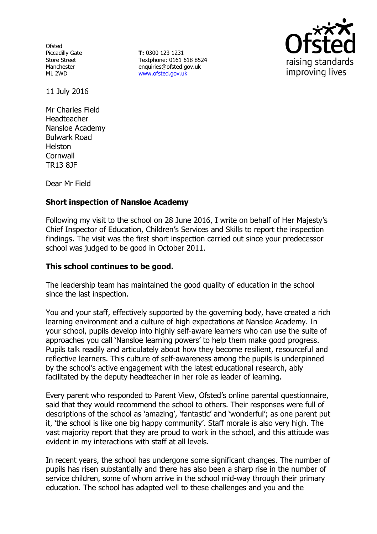**Ofsted** Piccadilly Gate Store Street Manchester M1 2WD

**T:** 0300 123 1231 Textphone: 0161 618 8524 enquiries@ofsted.gov.uk www.ofsted.gov.uk



11 July 2016

Mr Charles Field Headteacher Nansloe Academy Bulwark Road Helston **Cornwall** TR13 8JF

Dear Mr Field

### **Short inspection of Nansloe Academy**

Following my visit to the school on 28 June 2016, I write on behalf of Her Majesty's Chief Inspector of Education, Children's Services and Skills to report the inspection findings. The visit was the first short inspection carried out since your predecessor school was judged to be good in October 2011.

#### **This school continues to be good.**

The leadership team has maintained the good quality of education in the school since the last inspection.

You and your staff, effectively supported by the governing body, have created a rich learning environment and a culture of high expectations at Nansloe Academy. In your school, pupils develop into highly self-aware learners who can use the suite of approaches you call 'Nansloe learning powers' to help them make good progress. Pupils talk readily and articulately about how they become resilient, resourceful and reflective learners. This culture of self-awareness among the pupils is underpinned by the school's active engagement with the latest educational research, ably facilitated by the deputy headteacher in her role as leader of learning.

Every parent who responded to Parent View, Ofsted's online parental questionnaire, said that they would recommend the school to others. Their responses were full of descriptions of the school as 'amazing', 'fantastic' and 'wonderful'; as one parent put it, 'the school is like one big happy community'. Staff morale is also very high. The vast majority report that they are proud to work in the school, and this attitude was evident in my interactions with staff at all levels.

In recent years, the school has undergone some significant changes. The number of pupils has risen substantially and there has also been a sharp rise in the number of service children, some of whom arrive in the school mid-way through their primary education. The school has adapted well to these challenges and you and the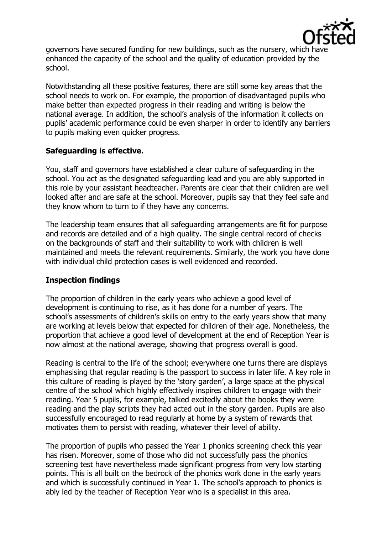

governors have secured funding for new buildings, such as the nursery, which have enhanced the capacity of the school and the quality of education provided by the school.

Notwithstanding all these positive features, there are still some key areas that the school needs to work on. For example, the proportion of disadvantaged pupils who make better than expected progress in their reading and writing is below the national average. In addition, the school's analysis of the information it collects on pupils' academic performance could be even sharper in order to identify any barriers to pupils making even quicker progress.

# **Safeguarding is effective.**

You, staff and governors have established a clear culture of safeguarding in the school. You act as the designated safeguarding lead and you are ably supported in this role by your assistant headteacher. Parents are clear that their children are well looked after and are safe at the school. Moreover, pupils say that they feel safe and they know whom to turn to if they have any concerns.

The leadership team ensures that all safeguarding arrangements are fit for purpose and records are detailed and of a high quality. The single central record of checks on the backgrounds of staff and their suitability to work with children is well maintained and meets the relevant requirements. Similarly, the work you have done with individual child protection cases is well evidenced and recorded.

### **Inspection findings**

The proportion of children in the early years who achieve a good level of development is continuing to rise, as it has done for a number of years. The school's assessments of children's skills on entry to the early years show that many are working at levels below that expected for children of their age. Nonetheless, the proportion that achieve a good level of development at the end of Reception Year is now almost at the national average, showing that progress overall is good.

Reading is central to the life of the school; everywhere one turns there are displays emphasising that regular reading is the passport to success in later life. A key role in this culture of reading is played by the 'story garden', a large space at the physical centre of the school which highly effectively inspires children to engage with their reading. Year 5 pupils, for example, talked excitedly about the books they were reading and the play scripts they had acted out in the story garden. Pupils are also successfully encouraged to read regularly at home by a system of rewards that motivates them to persist with reading, whatever their level of ability.

The proportion of pupils who passed the Year 1 phonics screening check this year has risen. Moreover, some of those who did not successfully pass the phonics screening test have nevertheless made significant progress from very low starting points. This is all built on the bedrock of the phonics work done in the early years and which is successfully continued in Year 1. The school's approach to phonics is ably led by the teacher of Reception Year who is a specialist in this area.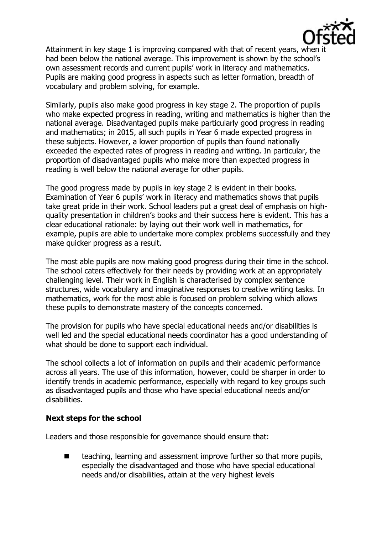

Attainment in key stage 1 is improving compared with that of recent years, when it had been below the national average. This improvement is shown by the school's own assessment records and current pupils' work in literacy and mathematics. Pupils are making good progress in aspects such as letter formation, breadth of vocabulary and problem solving, for example.

Similarly, pupils also make good progress in key stage 2. The proportion of pupils who make expected progress in reading, writing and mathematics is higher than the national average. Disadvantaged pupils make particularly good progress in reading and mathematics; in 2015, all such pupils in Year 6 made expected progress in these subjects. However, a lower proportion of pupils than found nationally exceeded the expected rates of progress in reading and writing. In particular, the proportion of disadvantaged pupils who make more than expected progress in reading is well below the national average for other pupils.

The good progress made by pupils in key stage 2 is evident in their books. Examination of Year 6 pupils' work in literacy and mathematics shows that pupils take great pride in their work. School leaders put a great deal of emphasis on highquality presentation in children's books and their success here is evident. This has a clear educational rationale: by laying out their work well in mathematics, for example, pupils are able to undertake more complex problems successfully and they make quicker progress as a result.

The most able pupils are now making good progress during their time in the school. The school caters effectively for their needs by providing work at an appropriately challenging level. Their work in English is characterised by complex sentence structures, wide vocabulary and imaginative responses to creative writing tasks. In mathematics, work for the most able is focused on problem solving which allows these pupils to demonstrate mastery of the concepts concerned.

The provision for pupils who have special educational needs and/or disabilities is well led and the special educational needs coordinator has a good understanding of what should be done to support each individual.

The school collects a lot of information on pupils and their academic performance across all years. The use of this information, however, could be sharper in order to identify trends in academic performance, especially with regard to key groups such as disadvantaged pupils and those who have special educational needs and/or disabilities.

### **Next steps for the school**

Leaders and those responsible for governance should ensure that:

 $\blacksquare$  teaching, learning and assessment improve further so that more pupils, especially the disadvantaged and those who have special educational needs and/or disabilities, attain at the very highest levels